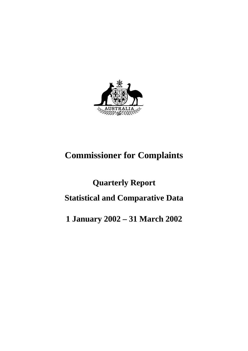

# **Commissioner for Complaints**

# **Quarterly Report Statistical and Comparative Data**

# **1 January 2002 – 31 March 2002**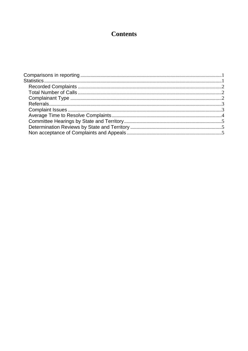### **Contents**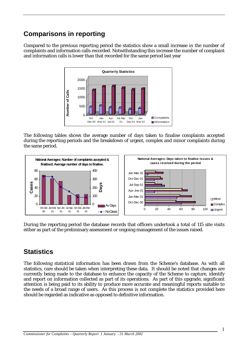### **Comparisons in reporting**

Compared to the previous reporting period the statistics show a small increase in the number of complaints and information calls recorded. Notwithstanding this increase the number of complaint and information calls is lower than that recorded for the same period last year



The following tables shows the average number of days taken to finalise complaints accepted during the reporting periods and the breakdown of urgent, complex and minor complaints during the same period.



During the reporting period the database records that officers undertook a total of 115 site visits either as part of the preliminary assessment or ongoing management of the issues raised.

### **Statistics**

The following statistical information has been drawn from the Scheme's database. As with all statistics, care should be taken when interpreting these data. It should be noted that changes are currently being made to the database to enhance the capacity of the Scheme to capture, identify and report on information collected as part of its operations. As part of this upgrade, significant attention is being paid to its ability to produce more accurate and meaningful reports suitable to the needs of a broad range of users. As this process is not complete the statistics provided here should be regarded as indicative as opposed to definitive information.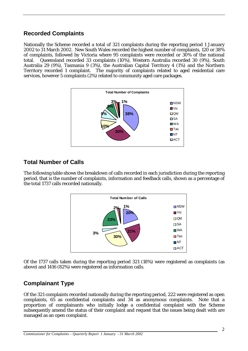### **Recorded Complaints**

Nationally the Scheme recorded a total of 321 complaints during the reporting period 1 January 2002 to 31 March 2002. New South Wales recorded the highest number of complaints, 120 or 38% of complaints, followed by Victoria where 95 complaints were recorded or 30% of the national total. Queensland recorded 33 complaints (10%), Western Australia recorded 30 (9%), South Australia 29 (9%), Tasmania 9 (3%), the Australian Capital Territory 4 (1%) and the Northern Territory recorded 1 complaint. The majority of complaints related to aged residential care services, however 5 complaints (2%) related to community aged care packages.



### **Total Number of Calls**

The following table shows the breakdown of calls recorded in each jurisdiction during the reporting period, that is the number of complaints, information and feedback calls, shown as a percentage of the total 1737 calls recorded nationally.



Of the 1737 calls taken during the reporting period 321 (18%) were registered as complaints (as above) and 1416 (82%) were registered as information calls.

### **Complainant Type**

Of the 321 complaints recorded nationally during the reporting period, 222 were registered as open complaints, 65 as confidential complaints and 34 as anonymous complaints. Note that a proportion of complainants who initially lodge a confidential complaint with the Scheme subsequently amend the status of their complaint and request that the issues being dealt with are managed as an open complaint.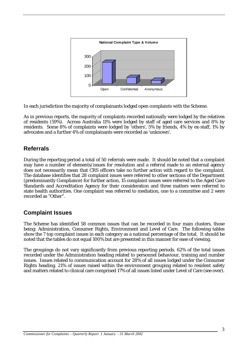

In each jurisdiction the majority of complainants lodged open complaints with the Scheme.

As in previous reports, the majority of complaints recorded nationally were lodged by the relatives of residents (59%). Across Australia 11% were lodged by staff of aged care services and 8% by residents. Some 8% of complaints were lodged by 'others', 5% by friends, 4% by ex-staff, 1% by advocates and a further 4% of complainants were recorded as 'unknown'.

### **Referrals**

During the reporting period a total of 50 referrals were made. It should be noted that a complaint may have a number of elements/issues for resolution and a referral made to an external agency does not necessarily mean that CRS officers take no further action with regard to the complaint. The database identifies that 28 complaint issues were referred to other sections of the Department (predominantly Compliance) for further action, 15 complaint issues were referred to the Aged Care Standards and Accreditation Agency for their consideration and three matters were referred to state health authorities. One complaint was referred to mediation, one to a committee and 2 were recorded as "Other".

### **Complaint Issues**

The Scheme has identified 58 common issues that can be recorded in four main clusters, those being: Administration, Consumer Rights, Environment and Level of Care. The following tables show the 7 top complaint issues in each category as a national percentage of the total. It should be noted that the tables do not equal 100% but are presented in this manner for ease of viewing.

The groupings do not vary significantly from previous reporting periods. 62% of the total issues recorded under the Administration heading related to personnel behaviour, training and number issues. Issues related to communication account for 28% of all issues lodged under the Consumer Rights heading. 21% of issues raised within the environment grouping related to resident safety and matters related to clinical care comprised 17% of all issues listed under Level of Care (see over).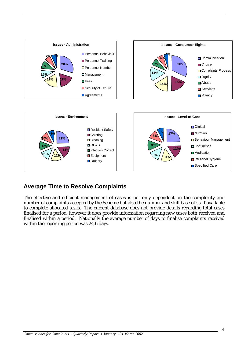

### **Average Time to Resolve Complaints**

The effective and efficient management of cases is not only dependent on the complexity and number of complaints accepted by the Scheme but also the number and skill base of staff available to complete allocated tasks. The current database does not provide details regarding total cases finalised for a period, however it does provide information regarding new cases both received and finalised within a period. Nationally the average number of days to finalise complaints received within the reporting period was 24.6 days.